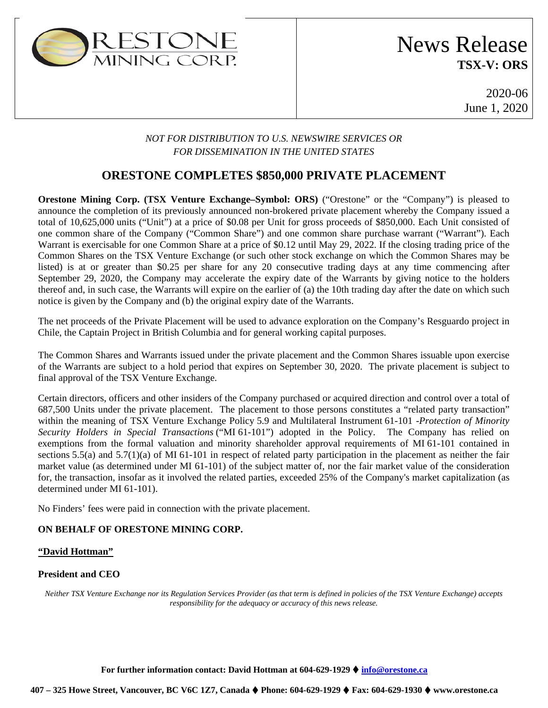

# News Release **TSX-V: ORS**

2020-06 June 1, 2020

### *NOT FOR DISTRIBUTION TO U.S. NEWSWIRE SERVICES OR FOR DISSEMINATION IN THE UNITED STATES*

### **ORESTONE COMPLETES \$850,000 PRIVATE PLACEMENT**

**Orestone Mining Corp. (TSX Venture Exchange–Symbol: ORS)** ("Orestone" or the "Company") is pleased to announce the completion of its previously announced non-brokered private placement whereby the Company issued a total of 10,625,000 units ("Unit") at a price of \$0.08 per Unit for gross proceeds of \$850,000. Each Unit consisted of one common share of the Company ("Common Share") and one common share purchase warrant ("Warrant"). Each Warrant is exercisable for one Common Share at a price of \$0.12 until May 29, 2022. If the closing trading price of the Common Shares on the TSX Venture Exchange (or such other stock exchange on which the Common Shares may be listed) is at or greater than \$0.25 per share for any 20 consecutive trading days at any time commencing after September 29, 2020, the Company may accelerate the expiry date of the Warrants by giving notice to the holders thereof and, in such case, the Warrants will expire on the earlier of (a) the 10th trading day after the date on which such notice is given by the Company and (b) the original expiry date of the Warrants.

The net proceeds of the Private Placement will be used to advance exploration on the Company's Resguardo project in Chile, the Captain Project in British Columbia and for general working capital purposes.

The Common Shares and Warrants issued under the private placement and the Common Shares issuable upon exercise of the Warrants are subject to a hold period that expires on September 30, 2020. The private placement is subject to final approval of the TSX Venture Exchange.

Certain directors, officers and other insiders of the Company purchased or acquired direction and control over a total of 687,500 Units under the private placement. The placement to those persons constitutes a "related party transaction" within the meaning of TSX Venture Exchange Policy 5.9 and Multilateral Instrument 61-101 -*Protection of Minority Security Holders in Special Transactions* ("MI 61-101") adopted in the Policy. The Company has relied on exemptions from the formal valuation and minority shareholder approval requirements of MI 61-101 contained in sections 5.5(a) and 5.7(1)(a) of MI 61-101 in respect of related party participation in the placement as neither the fair market value (as determined under MI 61-101) of the subject matter of, nor the fair market value of the consideration for, the transaction, insofar as it involved the related parties, exceeded 25% of the Company's market capitalization (as determined under MI 61-101).

No Finders' fees were paid in connection with the private placement.

#### **ON BEHALF OF ORESTONE MINING CORP.**

#### **"David Hottman"**

#### **President and CEO**

*Neither TSX Venture Exchange nor its Regulation Services Provider (as that term is defined in policies of the TSX Venture Exchange) accepts responsibility for the adequacy or accuracy of this news release.* 

**For further information contact: David Hottman at 604-629-1929 [info@orestone.ca](mailto:info@orestone.ca)**